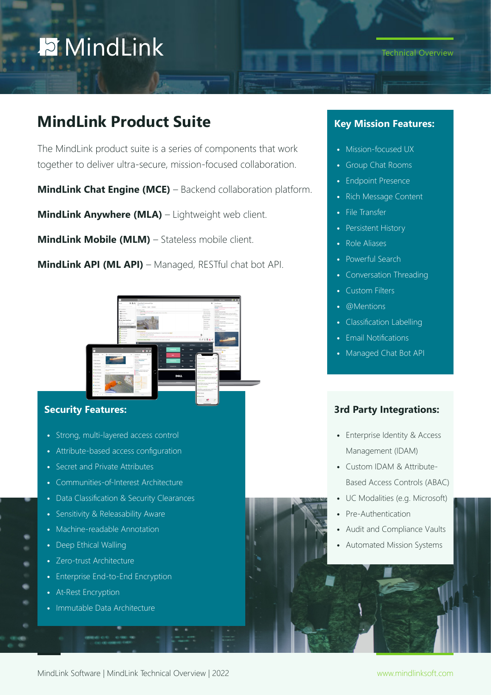# **D** MindLink

## **MindLink Product Suite**

The MindLink product suite is a series of components that work together to deliver ultra-secure, mission-focused collaboration.

**MindLink Chat Engine (MCE)** – Backend collaboration platform.

**MindLink Anywhere (MLA)** – Lightweight web client.

**MindLink Mobile (MLM)** – Stateless mobile client.

**MindLink API (ML API)** – Managed, RESTful chat bot API.



#### **Security Features:**

- **•** Strong, multi-layered access control
- **•** Attribute-based access configuration
- **•** Secret and Private Attributes
- **•** Communities-of-Interest Architecture
- **•** Data Classification & Security Clearances
- **•** Sensitivity & Releasability Aware
- **•** Machine-readable Annotation
- **•** Deep Ethical Walling
- **•** Zero-trust Architecture
- **•** Enterprise End-to-End Encryption
- **•** At-Rest Encryption
- **•** Immutable Data Architecture

### **Key Mission Features:**

- **•** Mission-focused UX
- **•** Group Chat Rooms
- **•** Endpoint Presence
- **•** Rich Message Content
- **•** File Transfer
- **•** Persistent History
- **•** Role Aliases
- **•** Powerful Search
- **•** Conversation Threading
- **•** Custom Filters
- **•** @Mentions
- **•** Classification Labelling
- **•** Email Notifications
- **•** Managed Chat Bot API

#### **3rd Party Integrations:**

- **•** Enterprise Identity & Access Management (IDAM)
- **•** Custom IDAM & Attribute-Based Access Controls (ABAC)
- **•** UC Modalities (e.g. Microsoft)
- **•** Pre-Authentication
- **•** Audit and Compliance Vaults
- **•** Automated Mission Systems